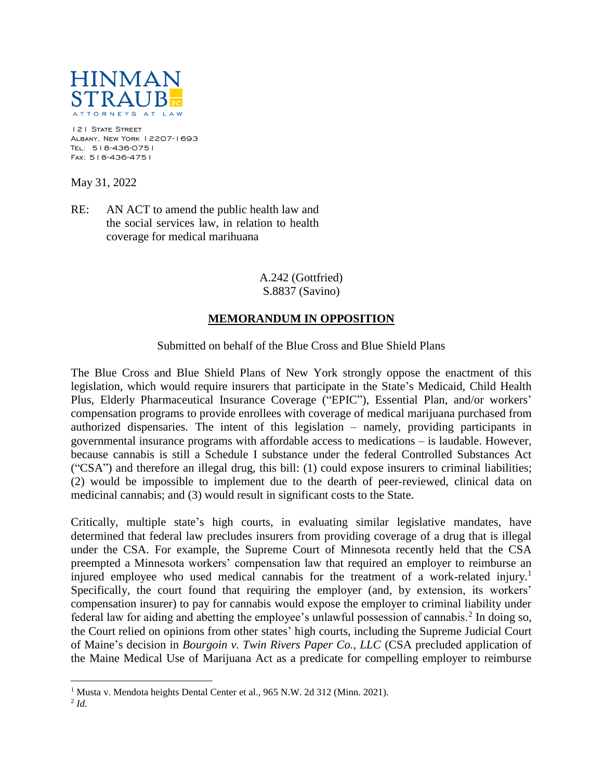

121 STATE STREET Albany, New York 12207-1693 Tel: 518-436-0751 Fax: 518-436-4751

May 31, 2022

RE: AN ACT to amend the public health law and the social services law, in relation to health coverage for medical marihuana

> A.242 (Gottfried) S.8837 (Savino)

## **MEMORANDUM IN OPPOSITION**

Submitted on behalf of the Blue Cross and Blue Shield Plans

The Blue Cross and Blue Shield Plans of New York strongly oppose the enactment of this legislation, which would require insurers that participate in the State's Medicaid, Child Health Plus, Elderly Pharmaceutical Insurance Coverage ("EPIC"), Essential Plan, and/or workers' compensation programs to provide enrollees with coverage of medical marijuana purchased from authorized dispensaries. The intent of this legislation – namely, providing participants in governmental insurance programs with affordable access to medications – is laudable. However, because cannabis is still a Schedule I substance under the federal Controlled Substances Act ("CSA") and therefore an illegal drug, this bill: (1) could expose insurers to criminal liabilities; (2) would be impossible to implement due to the dearth of peer-reviewed, clinical data on medicinal cannabis; and (3) would result in significant costs to the State.

Critically, multiple state's high courts, in evaluating similar legislative mandates, have determined that federal law precludes insurers from providing coverage of a drug that is illegal under the CSA. For example, the Supreme Court of Minnesota recently held that the CSA preempted a Minnesota workers' compensation law that required an employer to reimburse an injured employee who used medical cannabis for the treatment of a work-related injury.<sup>1</sup> Specifically, the court found that requiring the employer (and, by extension, its workers' compensation insurer) to pay for cannabis would expose the employer to criminal liability under federal law for aiding and abetting the employee's unlawful possession of cannabis.<sup>2</sup> In doing so, the Court relied on opinions from other states' high courts, including the Supreme Judicial Court of Maine's decision in *Bourgoin v. Twin Rivers Paper Co., LLC* (CSA precluded application of the Maine Medical Use of Marijuana Act as a predicate for compelling employer to reimburse

 $\overline{a}$ 

<sup>&</sup>lt;sup>1</sup> Musta v. Mendota heights Dental Center et al., 965 N.W. 2d 312 (Minn. 2021).

<sup>2</sup> *Id.*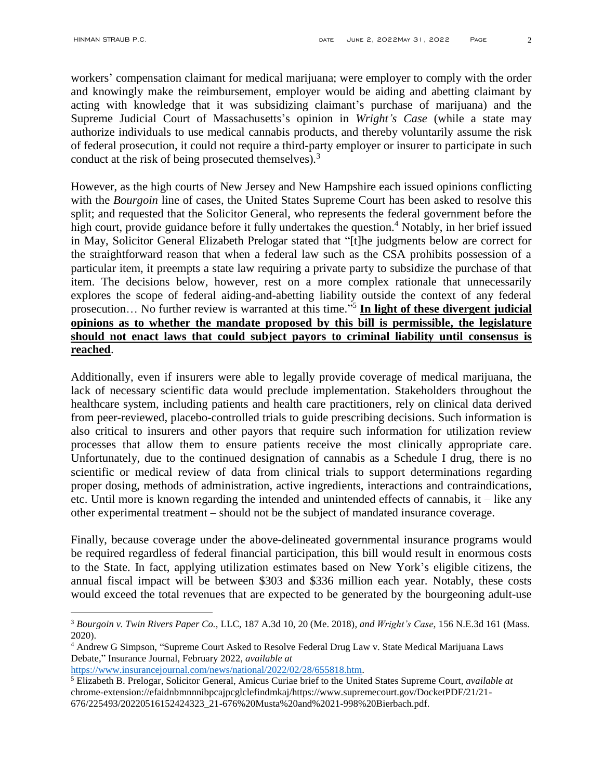$\overline{a}$ 

workers' compensation claimant for medical marijuana; were employer to comply with the order and knowingly make the reimbursement, employer would be aiding and abetting claimant by acting with knowledge that it was subsidizing claimant's purchase of marijuana) and the Supreme Judicial Court of Massachusetts's opinion in *Wright's Case* (while a state may authorize individuals to use medical cannabis products, and thereby voluntarily assume the risk of federal prosecution, it could not require a third-party employer or insurer to participate in such conduct at the risk of being prosecuted themselves)*.* 3

However, as the high courts of New Jersey and New Hampshire each issued opinions conflicting with the *Bourgoin* line of cases, the United States Supreme Court has been asked to resolve this split; and requested that the Solicitor General, who represents the federal government before the high court, provide guidance before it fully undertakes the question.<sup>4</sup> Notably, in her brief issued in May, Solicitor General Elizabeth Prelogar stated that "[t]he judgments below are correct for the straightforward reason that when a federal law such as the CSA prohibits possession of a particular item, it preempts a state law requiring a private party to subsidize the purchase of that item. The decisions below, however, rest on a more complex rationale that unnecessarily explores the scope of federal aiding-and-abetting liability outside the context of any federal prosecution… No further review is warranted at this time." 5 **In light of these divergent judicial opinions as to whether the mandate proposed by this bill is permissible, the legislature should not enact laws that could subject payors to criminal liability until consensus is reached**.

Additionally, even if insurers were able to legally provide coverage of medical marijuana, the lack of necessary scientific data would preclude implementation. Stakeholders throughout the healthcare system, including patients and health care practitioners, rely on clinical data derived from peer-reviewed, placebo-controlled trials to guide prescribing decisions. Such information is also critical to insurers and other payors that require such information for utilization review processes that allow them to ensure patients receive the most clinically appropriate care. Unfortunately, due to the continued designation of cannabis as a Schedule I drug, there is no scientific or medical review of data from clinical trials to support determinations regarding proper dosing, methods of administration, active ingredients, interactions and contraindications, etc. Until more is known regarding the intended and unintended effects of cannabis, it – like any other experimental treatment – should not be the subject of mandated insurance coverage.

Finally, because coverage under the above-delineated governmental insurance programs would be required regardless of federal financial participation, this bill would result in enormous costs to the State. In fact, applying utilization estimates based on New York's eligible citizens, the annual fiscal impact will be between \$303 and \$336 million each year. Notably, these costs would exceed the total revenues that are expected to be generated by the bourgeoning adult-use

[https://www.insurancejournal.com/news/national/2022/02/28/655818.htm.](https://www.insurancejournal.com/news/national/2022/02/28/655818.htm)

<sup>3</sup> *Bourgoin v. Twin Rivers Paper Co.,* LLC, 187 A.3d 10, 20 (Me. 2018), *and Wright's Case*, 156 N.E.3d 161 (Mass. 2020).

<sup>4</sup> Andrew G Simpson, "Supreme Court Asked to Resolve Federal Drug Law v. State Medical Marijuana Laws Debate," Insurance Journal, February 2022, *available at* 

<sup>5</sup> Elizabeth B. Prelogar, Solicitor General, Amicus Curiae brief to the United States Supreme Court, *available at*  chrome-extension://efaidnbmnnnibpcajpcglclefindmkaj/https://www.supremecourt.gov/DocketPDF/21/21- 676/225493/20220516152424323\_21-676%20Musta%20and%2021-998%20Bierbach.pdf.